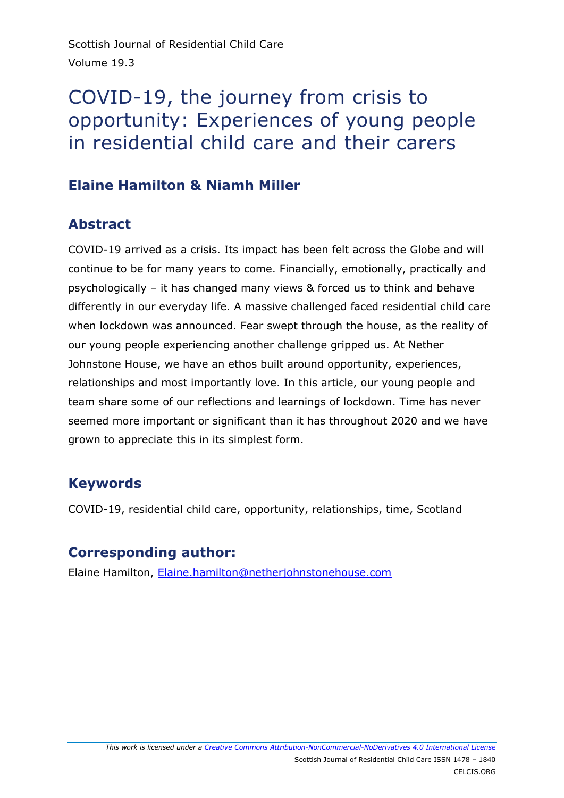Scottish Journal of Residential Child Care Volume 19.3

# COVID-19, the journey from crisis to opportunity: Experiences of young people in residential child care and their carers

# **Elaine Hamilton & Niamh Miller**

# **Abstract**

COVID-19 arrived as a crisis. Its impact has been felt across the Globe and will continue to be for many years to come. Financially, emotionally, practically and psychologically – it has changed many views & forced us to think and behave differently in our everyday life. A massive challenged faced residential child care when lockdown was announced. Fear swept through the house, as the reality of our young people experiencing another challenge gripped us. At Nether Johnstone House, we have an ethos built around opportunity, experiences, relationships and most importantly love. In this article, our young people and team share some of our reflections and learnings of lockdown. Time has never seemed more important or significant than it has throughout 2020 and we have grown to appreciate this in its simplest form.

# **Keywords**

COVID-19, residential child care, opportunity, relationships, time, Scotland

# **Corresponding author:**

Elaine Hamilton, [Elaine.hamilton@netherjohnstonehouse.com](mailto:Elaine.hamilton@netherjohnstonehouse.com)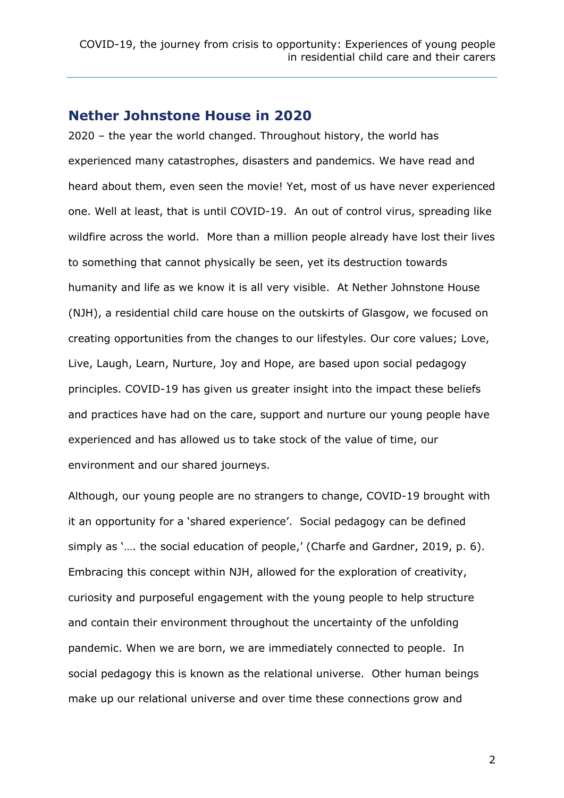#### **Nether Johnstone House in 2020**

2020 – the year the world changed. Throughout history, the world has experienced many catastrophes, disasters and pandemics. We have read and heard about them, even seen the movie! Yet, most of us have never experienced one. Well at least, that is until COVID-19. An out of control virus, spreading like wildfire across the world. More than a million people already have lost their lives to something that cannot physically be seen, yet its destruction towards humanity and life as we know it is all very visible. At Nether Johnstone House (NJH), a residential child care house on the outskirts of Glasgow, we focused on creating opportunities from the changes to our lifestyles. Our core values; Love, Live, Laugh, Learn, Nurture, Joy and Hope, are based upon social pedagogy principles. COVID-19 has given us greater insight into the impact these beliefs and practices have had on the care, support and nurture our young people have experienced and has allowed us to take stock of the value of time, our environment and our shared journeys.

Although, our young people are no strangers to change, COVID-19 brought with it an opportunity for a 'shared experience'. Social pedagogy can be defined simply as '.... the social education of people,' (Charfe and Gardner, 2019, p. 6). Embracing this concept within NJH, allowed for the exploration of creativity, curiosity and purposeful engagement with the young people to help structure and contain their environment throughout the uncertainty of the unfolding pandemic. When we are born, we are immediately connected to people. In social pedagogy this is known as the relational universe. Other human beings make up our relational universe and over time these connections grow and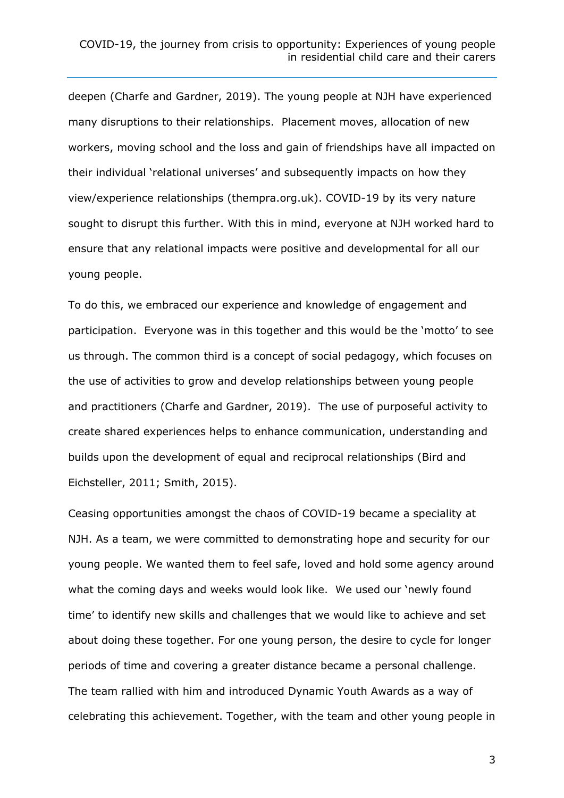deepen (Charfe and Gardner, 2019). The young people at NJH have experienced many disruptions to their relationships. Placement moves, allocation of new workers, moving school and the loss and gain of friendships have all impacted on their individual 'relational universes' and subsequently impacts on how they view/experience relationships (thempra.org.uk). COVID-19 by its very nature sought to disrupt this further. With this in mind, everyone at NJH worked hard to ensure that any relational impacts were positive and developmental for all our young people.

To do this, we embraced our experience and knowledge of engagement and participation. Everyone was in this together and this would be the 'motto' to see us through. The common third is a concept of social pedagogy, which focuses on the use of activities to grow and develop relationships between young people and practitioners (Charfe and Gardner, 2019). The use of purposeful activity to create shared experiences helps to enhance communication, understanding and builds upon the development of equal and reciprocal relationships (Bird and Eichsteller, 2011; Smith, 2015).

Ceasing opportunities amongst the chaos of COVID-19 became a speciality at NJH. As a team, we were committed to demonstrating hope and security for our young people. We wanted them to feel safe, loved and hold some agency around what the coming days and weeks would look like. We used our 'newly found time' to identify new skills and challenges that we would like to achieve and set about doing these together. For one young person, the desire to cycle for longer periods of time and covering a greater distance became a personal challenge. The team rallied with him and introduced Dynamic Youth Awards as a way of celebrating this achievement. Together, with the team and other young people in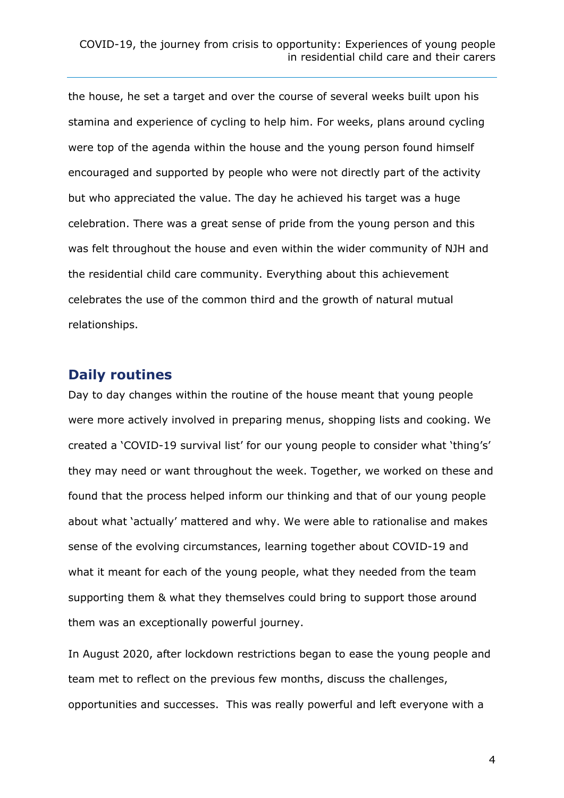the house, he set a target and over the course of several weeks built upon his stamina and experience of cycling to help him. For weeks, plans around cycling were top of the agenda within the house and the young person found himself encouraged and supported by people who were not directly part of the activity but who appreciated the value. The day he achieved his target was a huge celebration. There was a great sense of pride from the young person and this was felt throughout the house and even within the wider community of NJH and the residential child care community. Everything about this achievement celebrates the use of the common third and the growth of natural mutual relationships.

## **Daily routines**

Day to day changes within the routine of the house meant that young people were more actively involved in preparing menus, shopping lists and cooking. We created a 'COVID-19 survival list' for our young people to consider what 'thing's' they may need or want throughout the week. Together, we worked on these and found that the process helped inform our thinking and that of our young people about what 'actually' mattered and why. We were able to rationalise and makes sense of the evolving circumstances, learning together about COVID-19 and what it meant for each of the young people, what they needed from the team supporting them & what they themselves could bring to support those around them was an exceptionally powerful journey.

In August 2020, after lockdown restrictions began to ease the young people and team met to reflect on the previous few months, discuss the challenges, opportunities and successes. This was really powerful and left everyone with a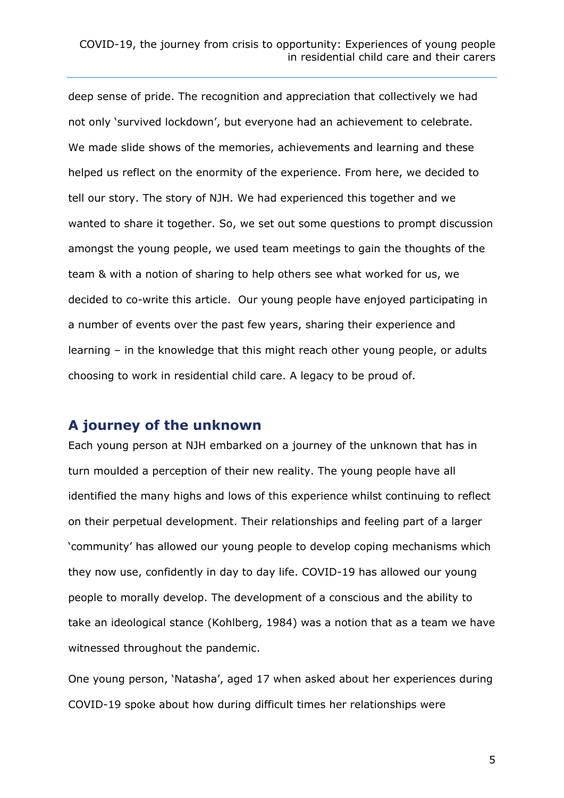deep sense of pride. The recognition and appreciation that collectively we had not only 'survived lockdown', but everyone had an achievement to celebrate. We made slide shows of the memories, achievements and learning and these helped us reflect on the enormity of the experience. From here, we decided to tell our story. The story of NJH. We had experienced this together and we wanted to share it together. So, we set out some questions to prompt discussion amongst the young people, we used team meetings to gain the thoughts of the team & with a notion of sharing to help others see what worked for us, we decided to co-write this article. Our young people have enjoyed participating in a number of events over the past few years, sharing their experience and learning – in the knowledge that this might reach other young people, or adults choosing to work in residential child care. A legacy to be proud of.

#### **A journey of the unknown**

Each young person at NJH embarked on a journey of the unknown that has in turn moulded a perception of their new reality. The young people have all identified the many highs and lows of this experience whilst continuing to reflect on their perpetual development. Their relationships and feeling part of a larger 'community' has allowed our young people to develop coping mechanisms which they now use, confidently in day to day life. COVID-19 has allowed our young people to morally develop. The development of a conscious and the ability to take an ideological stance (Kohlberg, 1984) was a notion that as a team we have witnessed throughout the pandemic.

One young person, 'Natasha', aged 17 when asked about her experiences during COVID-19 spoke about how during difficult times her relationships were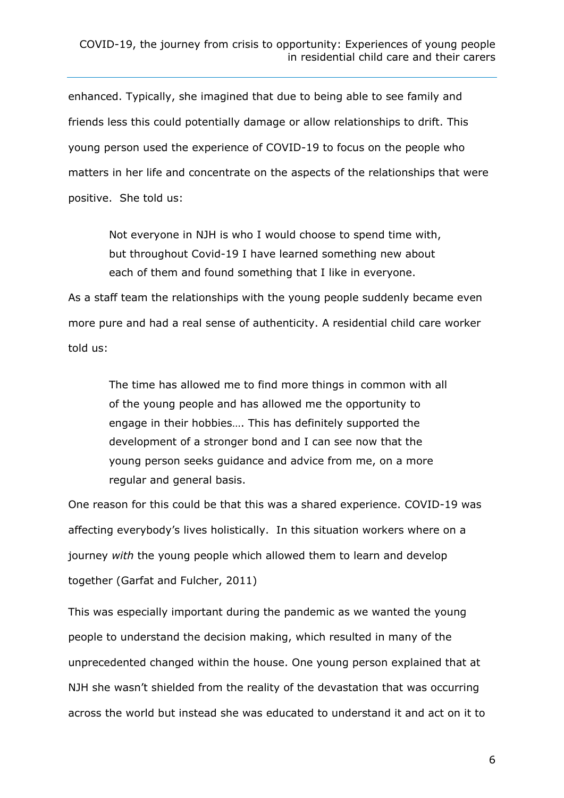#### COVID-19, the journey from crisis to opportunity: Experiences of young people in residential child care and their carers

enhanced. Typically, she imagined that due to being able to see family and friends less this could potentially damage or allow relationships to drift. This young person used the experience of COVID-19 to focus on the people who matters in her life and concentrate on the aspects of the relationships that were positive. She told us:

Not everyone in NJH is who I would choose to spend time with, but throughout Covid-19 I have learned something new about each of them and found something that I like in everyone.

As a staff team the relationships with the young people suddenly became even more pure and had a real sense of authenticity. A residential child care worker told us:

The time has allowed me to find more things in common with all of the young people and has allowed me the opportunity to engage in their hobbies…. This has definitely supported the development of a stronger bond and I can see now that the young person seeks guidance and advice from me, on a more regular and general basis.

One reason for this could be that this was a shared experience. COVID-19 was affecting everybody's lives holistically. In this situation workers where on a journey *with* the young people which allowed them to learn and develop together (Garfat and Fulcher, 2011)

This was especially important during the pandemic as we wanted the young people to understand the decision making, which resulted in many of the unprecedented changed within the house. One young person explained that at NJH she wasn't shielded from the reality of the devastation that was occurring across the world but instead she was educated to understand it and act on it to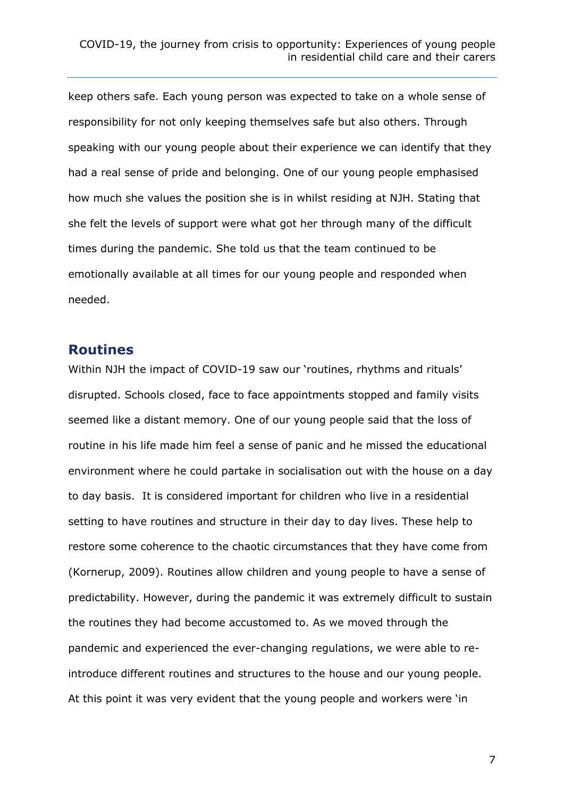keep others safe. Each young person was expected to take on a whole sense of responsibility for not only keeping themselves safe but also others. Through speaking with our young people about their experience we can identify that they had a real sense of pride and belonging. One of our young people emphasised how much she values the position she is in whilst residing at NJH. Stating that she felt the levels of support were what got her through many of the difficult times during the pandemic. She told us that the team continued to be emotionally available at all times for our young people and responded when needed.

## **Routines**

Within NJH the impact of COVID-19 saw our 'routines, rhythms and rituals' disrupted. Schools closed, face to face appointments stopped and family visits seemed like a distant memory. One of our young people said that the loss of routine in his life made him feel a sense of panic and he missed the educational environment where he could partake in socialisation out with the house on a day to day basis. It is considered important for children who live in a residential setting to have routines and structure in their day to day lives. These help to restore some coherence to the chaotic circumstances that they have come from (Kornerup, 2009). Routines allow children and young people to have a sense of predictability. However, during the pandemic it was extremely difficult to sustain the routines they had become accustomed to. As we moved through the pandemic and experienced the ever-changing regulations, we were able to reintroduce different routines and structures to the house and our young people. At this point it was very evident that the young people and workers were 'in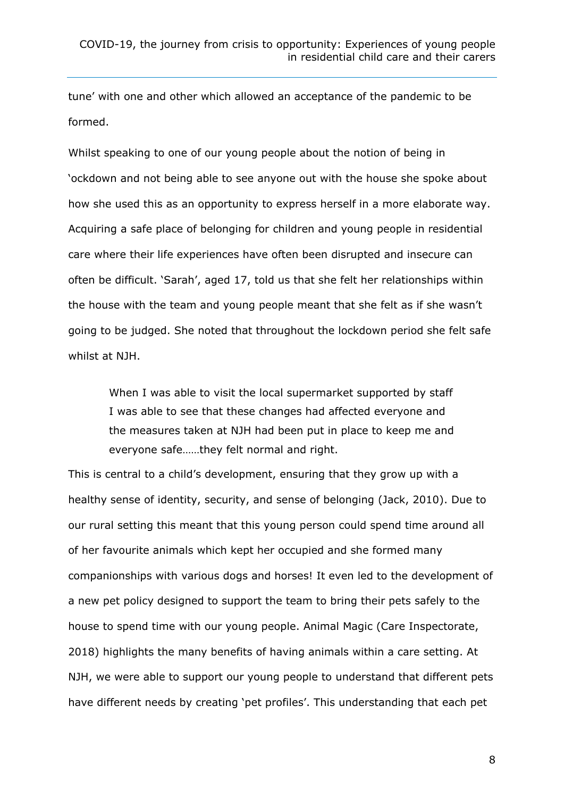tune' with one and other which allowed an acceptance of the pandemic to be formed.

Whilst speaking to one of our young people about the notion of being in 'ockdown and not being able to see anyone out with the house she spoke about how she used this as an opportunity to express herself in a more elaborate way. Acquiring a safe place of belonging for children and young people in residential care where their life experiences have often been disrupted and insecure can often be difficult. 'Sarah', aged 17, told us that she felt her relationships within the house with the team and young people meant that she felt as if she wasn't going to be judged. She noted that throughout the lockdown period she felt safe whilst at NJH.

When I was able to visit the local supermarket supported by staff I was able to see that these changes had affected everyone and the measures taken at NJH had been put in place to keep me and everyone safe……they felt normal and right.

This is central to a child's development, ensuring that they grow up with a healthy sense of identity, security, and sense of belonging (Jack, 2010). Due to our rural setting this meant that this young person could spend time around all of her favourite animals which kept her occupied and she formed many companionships with various dogs and horses! It even led to the development of a new pet policy designed to support the team to bring their pets safely to the house to spend time with our young people. Animal Magic (Care Inspectorate, 2018) highlights the many benefits of having animals within a care setting. At NJH, we were able to support our young people to understand that different pets have different needs by creating 'pet profiles'. This understanding that each pet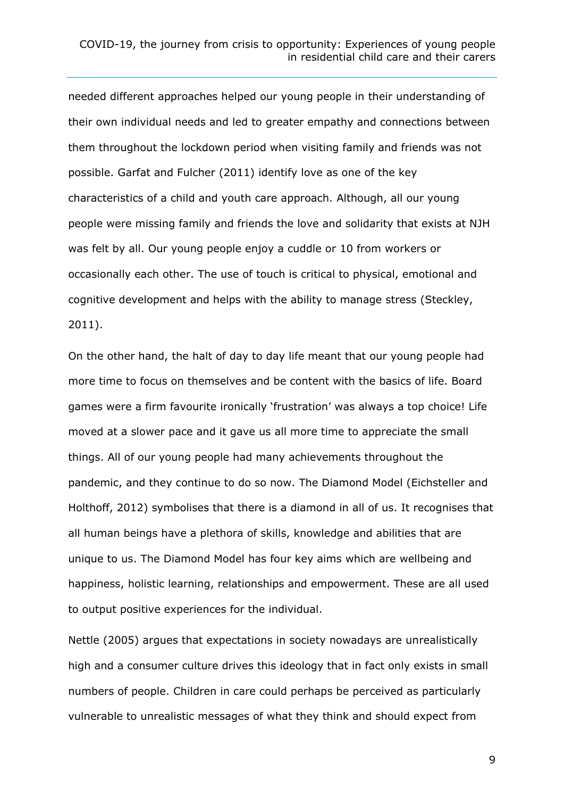needed different approaches helped our young people in their understanding of their own individual needs and led to greater empathy and connections between them throughout the lockdown period when visiting family and friends was not possible. Garfat and Fulcher (2011) identify love as one of the key characteristics of a child and youth care approach. Although, all our young people were missing family and friends the love and solidarity that exists at NJH was felt by all. Our young people enjoy a cuddle or 10 from workers or occasionally each other. The use of touch is critical to physical, emotional and cognitive development and helps with the ability to manage stress (Steckley, 2011).

On the other hand, the halt of day to day life meant that our young people had more time to focus on themselves and be content with the basics of life. Board games were a firm favourite ironically 'frustration' was always a top choice! Life moved at a slower pace and it gave us all more time to appreciate the small things. All of our young people had many achievements throughout the pandemic, and they continue to do so now. The Diamond Model (Eichsteller and Holthoff, 2012) symbolises that there is a diamond in all of us. It recognises that all human beings have a plethora of skills, knowledge and abilities that are unique to us. The Diamond Model has four key aims which are wellbeing and happiness, holistic learning, relationships and empowerment. These are all used to output positive experiences for the individual.

Nettle (2005) argues that expectations in society nowadays are unrealistically high and a consumer culture drives this ideology that in fact only exists in small numbers of people. Children in care could perhaps be perceived as particularly vulnerable to unrealistic messages of what they think and should expect from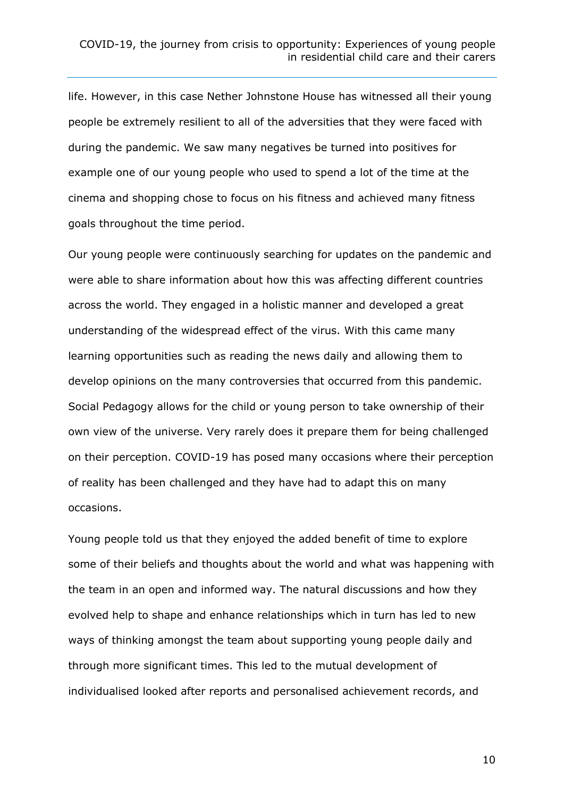life. However, in this case Nether Johnstone House has witnessed all their young people be extremely resilient to all of the adversities that they were faced with during the pandemic. We saw many negatives be turned into positives for example one of our young people who used to spend a lot of the time at the cinema and shopping chose to focus on his fitness and achieved many fitness goals throughout the time period.

Our young people were continuously searching for updates on the pandemic and were able to share information about how this was affecting different countries across the world. They engaged in a holistic manner and developed a great understanding of the widespread effect of the virus. With this came many learning opportunities such as reading the news daily and allowing them to develop opinions on the many controversies that occurred from this pandemic. Social Pedagogy allows for the child or young person to take ownership of their own view of the universe. Very rarely does it prepare them for being challenged on their perception. COVID-19 has posed many occasions where their perception of reality has been challenged and they have had to adapt this on many occasions.

Young people told us that they enjoyed the added benefit of time to explore some of their beliefs and thoughts about the world and what was happening with the team in an open and informed way. The natural discussions and how they evolved help to shape and enhance relationships which in turn has led to new ways of thinking amongst the team about supporting young people daily and through more significant times. This led to the mutual development of individualised looked after reports and personalised achievement records, and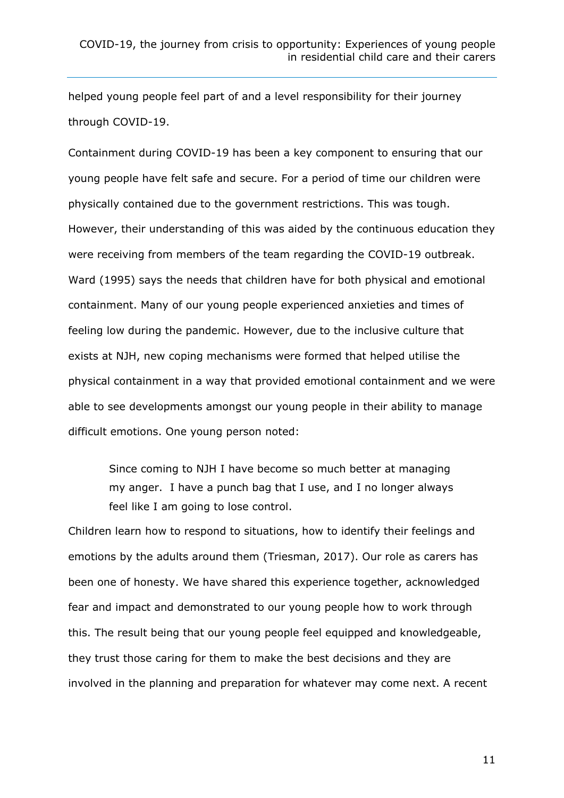helped young people feel part of and a level responsibility for their journey through COVID-19.

Containment during COVID-19 has been a key component to ensuring that our young people have felt safe and secure. For a period of time our children were physically contained due to the government restrictions. This was tough. However, their understanding of this was aided by the continuous education they were receiving from members of the team regarding the COVID-19 outbreak. Ward (1995) says the needs that children have for both physical and emotional containment. Many of our young people experienced anxieties and times of feeling low during the pandemic. However, due to the inclusive culture that exists at NJH, new coping mechanisms were formed that helped utilise the physical containment in a way that provided emotional containment and we were able to see developments amongst our young people in their ability to manage difficult emotions. One young person noted:

Since coming to NJH I have become so much better at managing my anger. I have a punch bag that I use, and I no longer always feel like I am going to lose control.

Children learn how to respond to situations, how to identify their feelings and emotions by the adults around them (Triesman, 2017). Our role as carers has been one of honesty. We have shared this experience together, acknowledged fear and impact and demonstrated to our young people how to work through this. The result being that our young people feel equipped and knowledgeable, they trust those caring for them to make the best decisions and they are involved in the planning and preparation for whatever may come next. A recent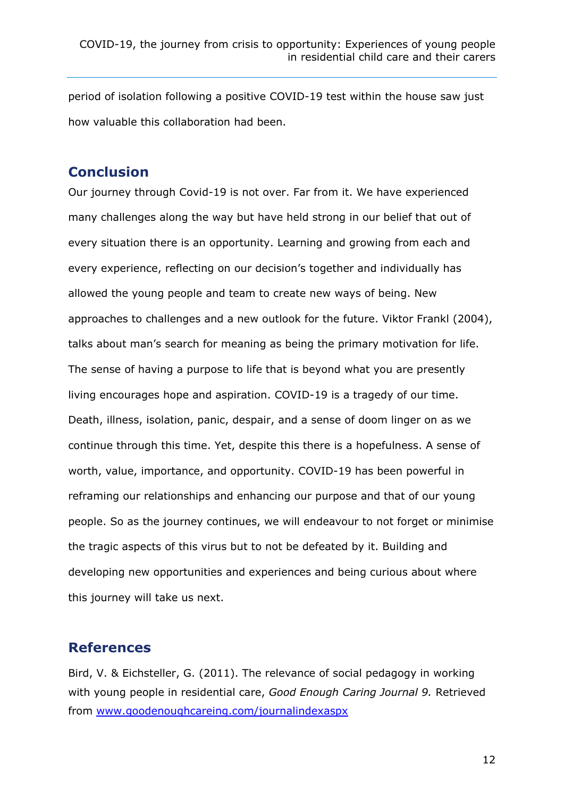period of isolation following a positive COVID-19 test within the house saw just how valuable this collaboration had been.

## **Conclusion**

Our journey through Covid-19 is not over. Far from it. We have experienced many challenges along the way but have held strong in our belief that out of every situation there is an opportunity. Learning and growing from each and every experience, reflecting on our decision's together and individually has allowed the young people and team to create new ways of being. New approaches to challenges and a new outlook for the future. Viktor Frankl (2004), talks about man's search for meaning as being the primary motivation for life. The sense of having a purpose to life that is beyond what you are presently living encourages hope and aspiration. COVID-19 is a tragedy of our time. Death, illness, isolation, panic, despair, and a sense of doom linger on as we continue through this time. Yet, despite this there is a hopefulness. A sense of worth, value, importance, and opportunity. COVID-19 has been powerful in reframing our relationships and enhancing our purpose and that of our young people. So as the journey continues, we will endeavour to not forget or minimise the tragic aspects of this virus but to not be defeated by it. Building and developing new opportunities and experiences and being curious about where this journey will take us next.

### **References**

Bird, V. & Eichsteller, G. (2011). The relevance of social pedagogy in working with young people in residential care, *Good Enough Caring Journal 9.* Retrieved from [www.goodenoughcareing.com/journalindexaspx](http://www.goodenoughcareing.com/journalindexaspx)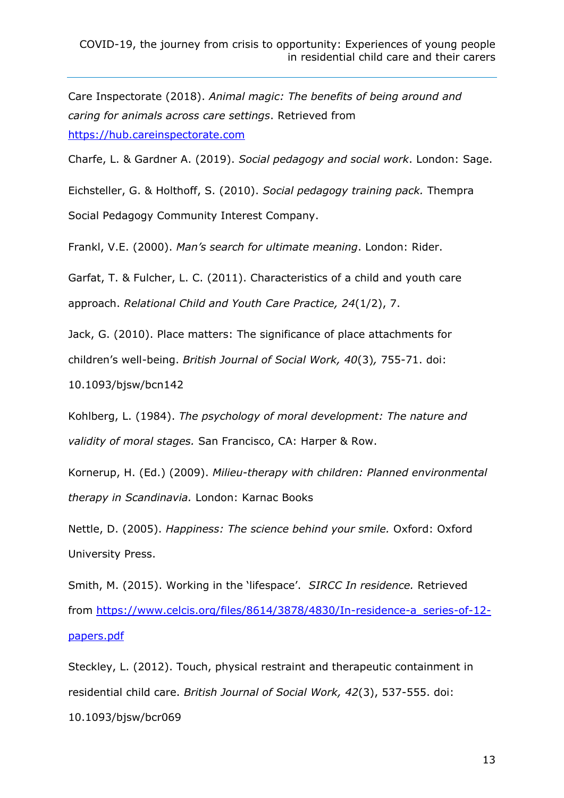Care Inspectorate (2018). *Animal magic: The benefits of being around and caring for animals across care settings*. Retrieved from [https://hub.careinspectorate.com](https://hub.careinspectorate.com/) 

Charfe, L. & Gardner A. (2019). *Social pedagogy and social work*. London: Sage.

Eichsteller, G. & Holthoff, S. (2010). *Social pedagogy training pack.* Thempra Social Pedagogy Community Interest Company.

Frankl, V.E. (2000). *Man's search for ultimate meaning*. London: Rider.

Garfat, T. & Fulcher, L. C. (2011). Characteristics of a child and youth care approach. *Relational Child and Youth Care Practice, 24*(1/2), 7.

Jack, G. (2010). Place matters: The significance of place attachments for children's well-being. *British Journal of Social Work, 40*(3)*,* 755-71. doi:

10.1093/bjsw/bcn142

Kohlberg, L. (1984). *The psychology of moral development: The nature and validity of moral stages.* San Francisco, CA: Harper & Row.

Kornerup, H. (Ed.) (2009). *Milieu-therapy with children: Planned environmental therapy in Scandinavia.* London: Karnac Books

Nettle, D. (2005). *Happiness: The science behind your smile.* Oxford: Oxford University Press.

Smith, M. (2015). Working in the 'lifespace'. *SIRCC In residence.* Retrieved from [https://www.celcis.org/files/8614/3878/4830/In-residence-a\\_series-of-12](https://www.celcis.org/files/8614/3878/4830/In-residence-a_series-of-12-papers.pdf) [papers.pdf](https://www.celcis.org/files/8614/3878/4830/In-residence-a_series-of-12-papers.pdf)

Steckley, L. (2012). Touch, physical restraint and therapeutic containment in residential child care. *British Journal of Social Work, 42*(3), 537-555. doi: 10.1093/bjsw/bcr069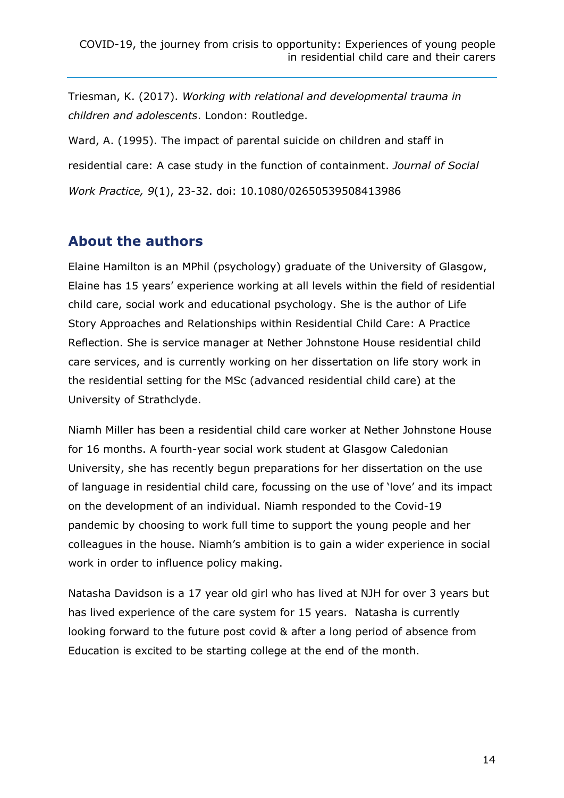Triesman, K. (2017). *Working with relational and developmental trauma in children and adolescents*. London: Routledge.

Ward, A. (1995). The impact of parental suicide on children and staff in residential care: A case study in the function of containment. *Journal of Social Work Practice, 9*(1), 23-32. doi: 10.1080/02650539508413986

## **About the authors**

Elaine Hamilton is an MPhil (psychology) graduate of the University of Glasgow, Elaine has 15 years' experience working at all levels within the field of residential child care, social work and educational psychology. She is the author of Life Story Approaches and Relationships within Residential Child Care: A Practice Reflection. She is service manager at Nether Johnstone House residential child care services, and is currently working on her dissertation on life story work in the residential setting for the MSc (advanced residential child care) at the University of Strathclyde.

Niamh Miller has been a residential child care worker at Nether Johnstone House for 16 months. A fourth-year social work student at Glasgow Caledonian University, she has recently begun preparations for her dissertation on the use of language in residential child care, focussing on the use of 'love' and its impact on the development of an individual. Niamh responded to the Covid-19 pandemic by choosing to work full time to support the young people and her colleagues in the house. Niamh's ambition is to gain a wider experience in social work in order to influence policy making.

Natasha Davidson is a 17 year old girl who has lived at NJH for over 3 years but has lived experience of the care system for 15 years. Natasha is currently looking forward to the future post covid & after a long period of absence from Education is excited to be starting college at the end of the month.